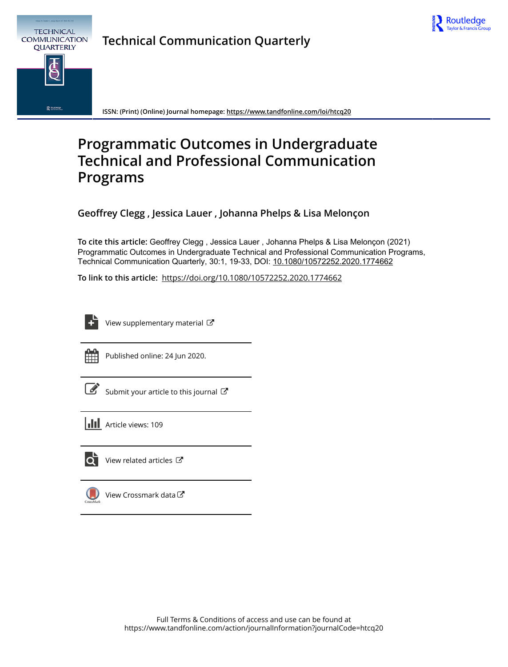

# **Technical Communication Quarterly**



**ISSN: (Print) (Online) Journal homepage:<https://www.tandfonline.com/loi/htcq20>**

## **Programmatic Outcomes in Undergraduate Technical and Professional Communication Programs**

**Geoffrey Clegg , Jessica Lauer , Johanna Phelps & Lisa Melonçon**

**To cite this article:** Geoffrey Clegg , Jessica Lauer , Johanna Phelps & Lisa Melonçon (2021) Programmatic Outcomes in Undergraduate Technical and Professional Communication Programs, Technical Communication Quarterly, 30:1, 19-33, DOI: [10.1080/10572252.2020.1774662](https://www.tandfonline.com/action/showCitFormats?doi=10.1080/10572252.2020.1774662)

**To link to this article:** <https://doi.org/10.1080/10572252.2020.1774662>

[View supplementary material](https://www.tandfonline.com/doi/suppl/10.1080/10572252.2020.1774662)  $\mathbb{Z}$ 



Published online: 24 Jun 2020.

[Submit your article to this journal](https://www.tandfonline.com/action/authorSubmission?journalCode=htcq20&show=instructions)  $\mathbb{Z}$ 

| <b>III</b> Article views: 109 |
|-------------------------------|
|                               |



 $\overline{\mathbf{Q}}$  [View related articles](https://www.tandfonline.com/doi/mlt/10.1080/10572252.2020.1774662)  $\mathbf{C}$ 



[View Crossmark data](http://crossmark.crossref.org/dialog/?doi=10.1080/10572252.2020.1774662&domain=pdf&date_stamp=2020-05-25)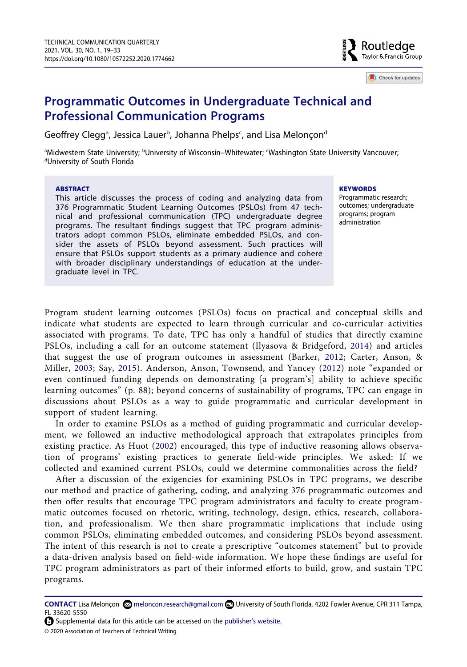

Check for updates

## **Programmatic Outcomes in Undergraduate Technical and Professional Communication Programs**

Geoffrey Clegg<sup>a</sup>, Jessica Lauer<sup>[b](#page-1-0)</sup>, Johanna Phelps<sup>c</sup>, an[d](#page-1-1) Lisa Melonçon<sup>d</sup>

<span id="page-1-1"></span><span id="page-1-0"></span><sup>a</sup>Midwestern State University; <sup>b</sup>University of Wisconsin–Whitewater; <sup>c</sup>Washington State University Vancouver;<br><sup>d</sup>University of South Florida University of South Florida

### **ABSTRACT**

This article discusses the process of coding and analyzing data from 376 Programmatic Student Learning Outcomes (PSLOs) from 47 technical and professional communication (TPC) undergraduate degree programs. The resultant findings suggest that TPC program administrators adopt common PSLOs, eliminate embedded PSLOs, and consider the assets of PSLOs beyond assessment. Such practices will ensure that PSLOs support students as a primary audience and cohere with broader disciplinary understandings of education at the undergraduate level in TPC.

#### **KEYWORDS**

Programmatic research; outcomes; undergraduate programs; program administration

<span id="page-1-5"></span><span id="page-1-3"></span><span id="page-1-2"></span>Program student learning outcomes (PSLOs) focus on practical and conceptual skills and indicate what students are expected to learn through curricular and co-curricular activities associated with programs. To date, TPC has only a handful of studies that directly examine PSLOs, including a call for an outcome statement (Ilyasova & Bridgeford, [2014](#page-14-0)) and articles that suggest the use of program outcomes in assessment (Barker, [2012;](#page-13-0) Carter, Anson, & Miller, [2003](#page-13-1); Say, [2015\)](#page-14-1). Anderson, Anson, Townsend, and Yancey ([2012](#page-13-2)) note "expanded or even continued funding depends on demonstrating [a program's] ability to achieve specific learning outcomes" (p. 88); beyond concerns of sustainability of programs, TPC can engage in discussions about PSLOs as a way to guide programmatic and curricular development in support of student learning.

<span id="page-1-4"></span>In order to examine PSLOs as a method of guiding programmatic and curricular development, we followed an inductive methodological approach that extrapolates principles from existing practice. As Huot ([2002\)](#page-14-2) encouraged, this type of inductive reasoning allows observation of programs' existing practices to generate field-wide principles. We asked: If we collected and examined current PSLOs, could we determine commonalities across the field?

After a discussion of the exigencies for examining PSLOs in TPC programs, we describe our method and practice of gathering, coding, and analyzing 376 programmatic outcomes and then offer results that encourage TPC program administrators and faculty to create programmatic outcomes focused on rhetoric, writing, technology, design, ethics, research, collaboration, and professionalism. We then share programmatic implications that include using common PSLOs, eliminating embedded outcomes, and considering PSLOs beyond assessment. The intent of this research is not to create a prescriptive "outcomes statement" but to provide a data-driven analysis based on field-wide information. We hope these findings are useful for TPC program administrators as part of their informed efforts to build, grow, and sustain TPC programs.

**CONTACT** Lisa Melonçon meloncon.research@gmail.com University of South Florida, 4202 Fowler Avenue, CPR 311 Tampa, FL 33620-5550

Supplemental data for this article can be accessed on the [publisher's website](https://doi.org/10.1080/10572252.2020.1774662).

© 2020 Association of Teachers of Technical Writing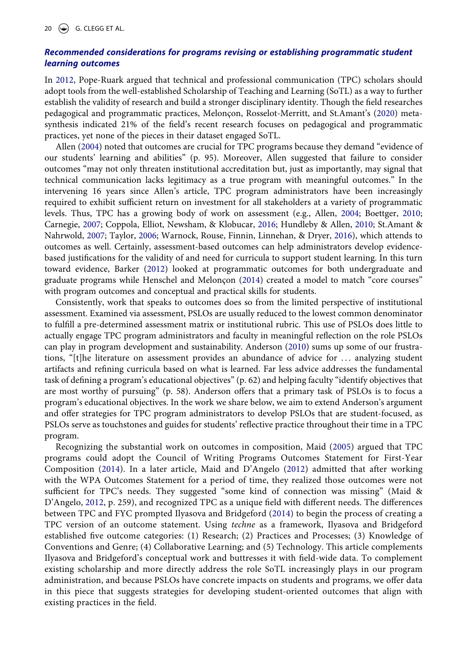## *Recommended considerations for programs revising or establishing programmatic student learning outcomes*

<span id="page-2-8"></span><span id="page-2-7"></span>In [2012](#page-14-3), Pope-Ruark argued that technical and professional communication (TPC) scholars should adopt tools from the well-established Scholarship of Teaching and Learning (SoTL) as a way to further establish the validity of research and build a stronger disciplinary identity. Though the field researches pedagogical and programmatic practices, Melonçon, Rosselot-Merritt, and St.Amant's ([2020\)](#page-14-4) metasynthesis indicated 21% of the field's recent research focuses on pedagogical and programmatic practices, yet none of the pieces in their dataset engaged SoTL.

<span id="page-2-2"></span><span id="page-2-0"></span>Allen ([2004\)](#page-13-3) noted that outcomes are crucial for TPC programs because they demand "evidence of our students' learning and abilities" (p. 95). Moreover, Allen suggested that failure to consider outcomes "may not only threaten institutional accreditation but, just as importantly, may signal that technical communication lacks legitimacy as a true program with meaningful outcomes." In the intervening 16 years since Allen's article, TPC program administrators have been increasingly required to exhibit sufficient return on investment for all stakeholders at a variety of programmatic levels. Thus, TPC has a growing body of work on assessment (e.g., Allen, [2004](#page-13-3); Boettger, [2010;](#page-13-4) Carnegie, [2007;](#page-13-5) Coppola, Elliot, Newsham, & Klobucar, [2016;](#page-13-6) Hundleby & Allen, [2010](#page-14-5); St.Amant & Nahrwold, [2007;](#page-14-6) Taylor, [2006;](#page-15-0) Warnock, Rouse, Finnin, Linnehan, & Dryer, [2016\)](#page-15-1), which attends to outcomes as well. Certainly, assessment-based outcomes can help administrators develop evidencebased justifications for the validity of and need for curricula to support student learning. In this turn toward evidence, Barker ([2012\)](#page-13-0) looked at programmatic outcomes for both undergraduate and graduate programs while Henschel and Melonçon [\(2014\)](#page-14-7) created a model to match "core courses" with program outcomes and conceptual and practical skills for students.

<span id="page-2-9"></span><span id="page-2-4"></span><span id="page-2-1"></span>Consistently, work that speaks to outcomes does so from the limited perspective of institutional assessment. Examined via assessment, PSLOs are usually reduced to the lowest common denominator to fulfill a pre-determined assessment matrix or institutional rubric. This use of PSLOs does little to actually engage TPC program administrators and faculty in meaningful reflection on the role PSLOs can play in program development and sustainability. Anderson [\(2010](#page-13-7)) sums up some of our frustrations, "[t]he literature on assessment provides an abundance of advice for . . . analyzing student artifacts and refining curricula based on what is learned. Far less advice addresses the fundamental task of defining a program's educational objectives" (p. 62) and helping faculty "identify objectives that are most worthy of pursuing" (p. 58). Anderson offers that a primary task of PSLOs is to focus a program's educational objectives. In the work we share below, we aim to extend Anderson's argument and offer strategies for TPC program administrators to develop PSLOs that are student-focused, as PSLOs serve as touchstones and guides for students' reflective practice throughout their time in a TPC program.

<span id="page-2-6"></span><span id="page-2-5"></span><span id="page-2-3"></span>Recognizing the substantial work on outcomes in composition, Maid ([2005\)](#page-14-8) argued that TPC programs could adopt the Council of Writing Programs Outcomes Statement for First-Year Composition ([2014](#page-13-8)). In a later article, Maid and D'Angelo ([2012](#page-14-9)) admitted that after working with the WPA Outcomes Statement for a period of time, they realized those outcomes were not sufficient for TPC's needs. They suggested "some kind of connection was missing" (Maid & D'Angelo, [2012,](#page-14-9) p. 259), and recognized TPC as a unique field with different needs. The differences between TPC and FYC prompted Ilyasova and Bridgeford ([2014](#page-14-0)) to begin the process of creating a TPC version of an outcome statement. Using *techne* as a framework, Ilyasova and Bridgeford established five outcome categories: (1) Research; (2) Practices and Processes; (3) Knowledge of Conventions and Genre; (4) Collaborative Learning; and (5) Technology. This article complements Ilyasova and Bridgeford's conceptual work and buttresses it with field-wide data. To complement existing scholarship and more directly address the role SoTL increasingly plays in our program administration, and because PSLOs have concrete impacts on students and programs, we offer data in this piece that suggests strategies for developing student-oriented outcomes that align with existing practices in the field.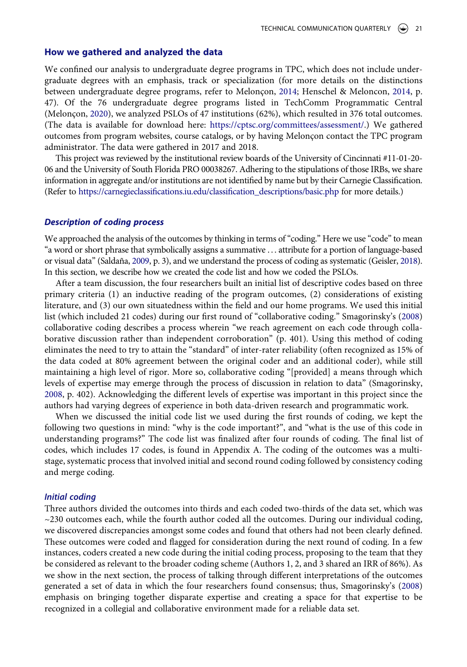#### **How we gathered and analyzed the data**

<span id="page-3-2"></span><span id="page-3-1"></span>We confined our analysis to undergraduate degree programs in TPC, which does not include undergraduate degrees with an emphasis, track or specialization (for more details on the distinctions between undergraduate degree programs, refer to Melonçon, [2014](#page-14-10); Henschel & Meloncon, [2014,](#page-14-7) p. 47). Of the 76 undergraduate degree programs listed in TechComm Programmatic Central (Melonçon, [2020\)](#page-14-11), we analyzed PSLOs of 47 institutions (62%), which resulted in 376 total outcomes. (The data is available for download here: [https://cptsc.org/committees/assessment/.](https://cptsc.org/committees/assessment/)) We gathered outcomes from program websites, course catalogs, or by having Melonçon contact the TPC program administrator. The data were gathered in 2017 and 2018.

This project was reviewed by the institutional review boards of the University of Cincinnati #11-01-20- 06 and the University of South Florida PRO 00038267. Adhering to the stipulations of those IRBs, we share information in aggregate and/or institutions are not identified by name but by their Carnegie Classification. (Refer to [https://carnegieclassifications.iu.edu/classification\\_descriptions/basic.php](https://carnegieclassifications.iu.edu/classification_descriptions/basic.php) for more details.)

#### *Description of coding process*

<span id="page-3-0"></span>We approached the analysis of the outcomes by thinking in terms of "coding." Here we use "code" to mean "a word or short phrase that symbolically assigns a summative . . . attribute for a portion of language-based or visual data" (Saldaña, [2009,](#page-14-12) p. 3), and we understand the process of coding as systematic (Geisler, [2018](#page-13-9)). In this section, we describe how we created the code list and how we coded the PSLOs.

After a team discussion, the four researchers built an initial list of descriptive codes based on three primary criteria (1) an inductive reading of the program outcomes, (2) considerations of existing literature, and (3) our own situatedness within the field and our home programs. We used this initial list (which included 21 codes) during our first round of "collaborative coding." Smagorinsky's [\(2008\)](#page-14-13) collaborative coding describes a process wherein "we reach agreement on each code through collaborative discussion rather than independent corroboration" (p. 401). Using this method of coding eliminates the need to try to attain the "standard" of inter-rater reliability (often recognized as 15% of the data coded at 80% agreement between the original coder and an additional coder), while still maintaining a high level of rigor. More so, collaborative coding "[provided] a means through which levels of expertise may emerge through the process of discussion in relation to data" (Smagorinsky, [2008](#page-14-13), p. 402). Acknowledging the different levels of expertise was important in this project since the authors had varying degrees of experience in both data-driven research and programmatic work.

When we discussed the initial code list we used during the first rounds of coding, we kept the following two questions in mind: "why is the code important?", and "what is the use of this code in understanding programs?" The code list was finalized after four rounds of coding. The final list of codes, which includes 17 codes, is found in Appendix A. The coding of the outcomes was a multistage, systematic process that involved initial and second round coding followed by consistency coding and merge coding.

#### *Initial coding*

<span id="page-3-3"></span>Three authors divided the outcomes into thirds and each coded two-thirds of the data set, which was  $\sim$ 230 outcomes each, while the fourth author coded all the outcomes. During our individual coding, we discovered discrepancies amongst some codes and found that others had not been clearly defined. These outcomes were coded and flagged for consideration during the next round of coding. In a few instances, coders created a new code during the initial coding process, proposing to the team that they be considered as relevant to the broader coding scheme (Authors 1, 2, and 3 shared an IRR of 86%). As we show in the next section, the process of talking through different interpretations of the outcomes generated a set of data in which the four researchers found consensus; thus, Smagorinsky's [\(2008\)](#page-14-13) emphasis on bringing together disparate expertise and creating a space for that expertise to be recognized in a collegial and collaborative environment made for a reliable data set.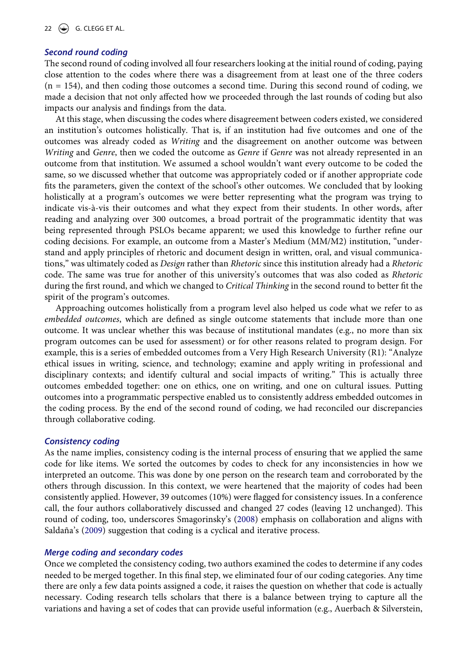## *Second round coding*

The second round of coding involved all four researchers looking at the initial round of coding, paying close attention to the codes where there was a disagreement from at least one of the three coders  $(n = 154)$ , and then coding those outcomes a second time. During this second round of coding, we made a decision that not only affected how we proceeded through the last rounds of coding but also impacts our analysis and findings from the data.

At this stage, when discussing the codes where disagreement between coders existed, we considered an institution's outcomes holistically. That is, if an institution had five outcomes and one of the outcomes was already coded as *Writing* and the disagreement on another outcome was between *Writing* and *Genre*, then we coded the outcome as *Genre* if *Genre* was not already represented in an outcome from that institution. We assumed a school wouldn't want every outcome to be coded the same, so we discussed whether that outcome was appropriately coded or if another appropriate code fits the parameters, given the context of the school's other outcomes. We concluded that by looking holistically at a program's outcomes we were better representing what the program was trying to indicate vis-à-vis their outcomes and what they expect from their students. In other words, after reading and analyzing over 300 outcomes, a broad portrait of the programmatic identity that was being represented through PSLOs became apparent; we used this knowledge to further refine our coding decisions. For example, an outcome from a Master's Medium (MM/M2) institution, "understand and apply principles of rhetoric and document design in written, oral, and visual communications," was ultimately coded as *Design* rather than *Rhetoric* since this institution already had a *Rhetoric*  code. The same was true for another of this university's outcomes that was also coded as *Rhetoric*  during the first round, and which we changed to *Critical Thinking* in the second round to better fit the spirit of the program's outcomes.

Approaching outcomes holistically from a program level also helped us code what we refer to as *embedded outcomes*, which are defined as single outcome statements that include more than one outcome. It was unclear whether this was because of institutional mandates (e.g., no more than six program outcomes can be used for assessment) or for other reasons related to program design. For example, this is a series of embedded outcomes from a Very High Research University (R1): "Analyze ethical issues in writing, science, and technology; examine and apply writing in professional and disciplinary contexts; and identify cultural and social impacts of writing." This is actually three outcomes embedded together: one on ethics, one on writing, and one on cultural issues. Putting outcomes into a programmatic perspective enabled us to consistently address embedded outcomes in the coding process. By the end of the second round of coding, we had reconciled our discrepancies through collaborative coding.

#### *Consistency coding*

As the name implies, consistency coding is the internal process of ensuring that we applied the same code for like items. We sorted the outcomes by codes to check for any inconsistencies in how we interpreted an outcome. This was done by one person on the research team and corroborated by the others through discussion. In this context, we were heartened that the majority of codes had been consistently applied. However, 39 outcomes (10%) were flagged for consistency issues. In a conference call, the four authors collaboratively discussed and changed 27 codes (leaving 12 unchanged). This round of coding, too, underscores Smagorinsky's ([2008](#page-14-13)) emphasis on collaboration and aligns with Saldaña's [\(2009\)](#page-14-12) suggestion that coding is a cyclical and iterative process.

### *Merge coding and secondary codes*

<span id="page-4-0"></span>Once we completed the consistency coding, two authors examined the codes to determine if any codes needed to be merged together. In this final step, we eliminated four of our coding categories. Any time there are only a few data points assigned a code, it raises the question on whether that code is actually necessary. Coding research tells scholars that there is a balance between trying to capture all the variations and having a set of codes that can provide useful information (e.g., Auerbach & Silverstein,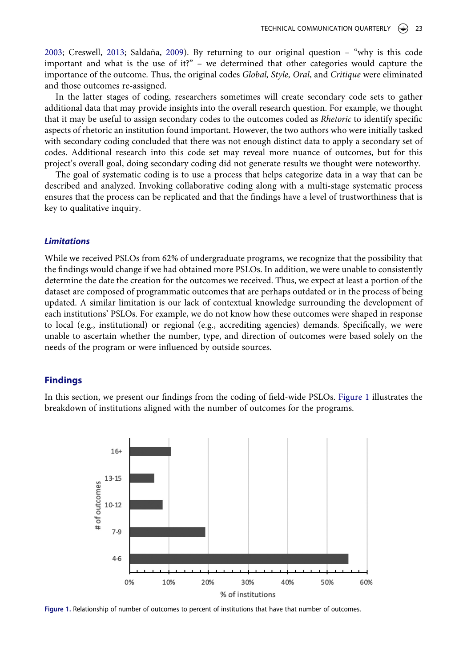<span id="page-5-1"></span>[2003](#page-13-10); Creswell, [2013](#page-13-11); Saldaña, [2009](#page-14-12)). By returning to our original question – "why is this code important and what is the use of it?" – we determined that other categories would capture the importance of the outcome. Thus, the original codes *Global, Style, Oral*, and *Critique* were eliminated and those outcomes re-assigned.

In the latter stages of coding, researchers sometimes will create secondary code sets to gather additional data that may provide insights into the overall research question. For example, we thought that it may be useful to assign secondary codes to the outcomes coded as *Rhetoric* to identify specific aspects of rhetoric an institution found important. However, the two authors who were initially tasked with secondary coding concluded that there was not enough distinct data to apply a secondary set of codes. Additional research into this code set may reveal more nuance of outcomes, but for this project's overall goal, doing secondary coding did not generate results we thought were noteworthy.

The goal of systematic coding is to use a process that helps categorize data in a way that can be described and analyzed. Invoking collaborative coding along with a multi-stage systematic process ensures that the process can be replicated and that the findings have a level of trustworthiness that is key to qualitative inquiry.

#### *Limitations*

While we received PSLOs from 62% of undergraduate programs, we recognize that the possibility that the findings would change if we had obtained more PSLOs. In addition, we were unable to consistently determine the date the creation for the outcomes we received. Thus, we expect at least a portion of the dataset are composed of programmatic outcomes that are perhaps outdated or in the process of being updated. A similar limitation is our lack of contextual knowledge surrounding the development of each institutions' PSLOs. For example, we do not know how these outcomes were shaped in response to local (e.g., institutional) or regional (e.g., accrediting agencies) demands. Specifically, we were unable to ascertain whether the number, type, and direction of outcomes were based solely on the needs of the program or were influenced by outside sources.

#### **Findings**

In this section, we present our findings from the coding of field-wide PSLOs. [Figure 1](#page-5-0) illustrates the breakdown of institutions aligned with the number of outcomes for the programs.

<span id="page-5-0"></span>

**Figure 1.** Relationship of number of outcomes to percent of institutions that have that number of outcomes.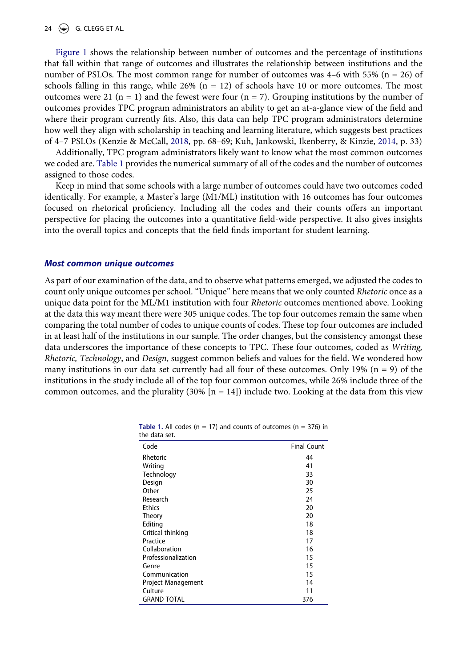### 24  $\left(\bigcirc\right)$  G. CLEGG ET AL.

[Figure 1](#page-5-0) shows the relationship between number of outcomes and the percentage of institutions that fall within that range of outcomes and illustrates the relationship between institutions and the number of PSLOs. The most common range for number of outcomes was  $4-6$  with 55% (n = 26) of schools falling in this range, while  $26\%$  (n = 12) of schools have 10 or more outcomes. The most outcomes were 21 ( $n = 1$ ) and the fewest were four ( $n = 7$ ). Grouping institutions by the number of outcomes provides TPC program administrators an ability to get an at-a-glance view of the field and where their program currently fits. Also, this data can help TPC program administrators determine how well they align with scholarship in teaching and learning literature, which suggests best practices of 4–7 PSLOs (Kenzie & McCall, [2018](#page-14-14), pp. 68–69; Kuh, Jankowski, Ikenberry, & Kinzie, [2014](#page-14-15), p. 33)

<span id="page-6-1"></span>Additionally, TPC program administrators likely want to know what the most common outcomes we coded are. [Table 1](#page-6-0) provides the numerical summary of all of the codes and the number of outcomes assigned to those codes.

Keep in mind that some schools with a large number of outcomes could have two outcomes coded identically. For example, a Master's large (M1/ML) institution with 16 outcomes has four outcomes focused on rhetorical proficiency. Including all the codes and their counts offers an important perspective for placing the outcomes into a quantitative field-wide perspective. It also gives insights into the overall topics and concepts that the field finds important for student learning.

#### *Most common unique outcomes*

As part of our examination of the data, and to observe what patterns emerged, we adjusted the codes to count only unique outcomes per school. "Unique" here means that we only counted *Rhetoric* once as a unique data point for the ML/M1 institution with four *Rhetoric* outcomes mentioned above. Looking at the data this way meant there were 305 unique codes. The top four outcomes remain the same when comparing the total number of codes to unique counts of codes. These top four outcomes are included in at least half of the institutions in our sample. The order changes, but the consistency amongst these data underscores the importance of these concepts to TPC. These four outcomes, coded as *Writing, Rhetoric, Technology*, and *Design*, suggest common beliefs and values for the field. We wondered how many institutions in our data set currently had all four of these outcomes. Only 19%  $(n = 9)$  of the institutions in the study include all of the top four common outcomes, while 26% include three of the common outcomes, and the plurality  $(30\%$  [n = 14]) include two. Looking at the data from this view

| Code                | <b>Final Count</b> |
|---------------------|--------------------|
| Rhetoric            | 44                 |
| Writing             | 41                 |
| Technology          | 33                 |
| Design              | 30                 |
| Other               | 25                 |
| Research            | 24                 |
| <b>Ethics</b>       | 20                 |
| Theory              | 20                 |
| Editing             | 18                 |
| Critical thinking   | 18                 |
| Practice            | 17                 |
| Collaboration       | 16                 |
| Professionalization | 15                 |
| Genre               | 15                 |
| Communication       | 15                 |
| Project Management  | 14                 |
| Culture             | 11                 |
| <b>GRAND TOTAL</b>  | 376                |

<span id="page-6-0"></span>**Table 1.** All codes ( $n = 17$ ) and counts of outcomes ( $n = 376$ ) in the data set.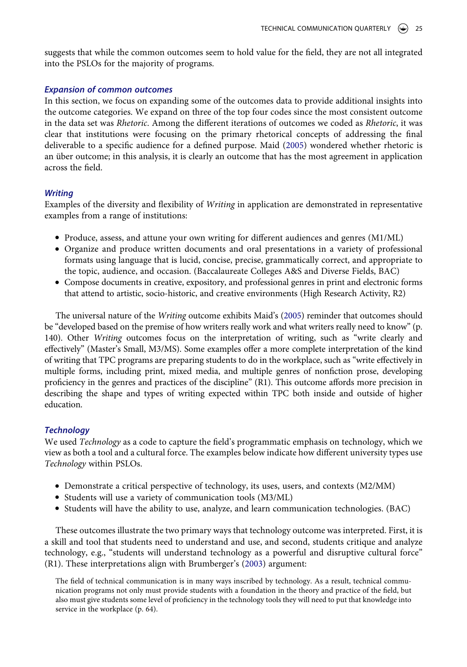suggests that while the common outcomes seem to hold value for the field, they are not all integrated into the PSLOs for the majority of programs.

## *Expansion of common outcomes*

In this section, we focus on expanding some of the outcomes data to provide additional insights into the outcome categories. We expand on three of the top four codes since the most consistent outcome in the data set was *Rhetoric*. Among the different iterations of outcomes we coded as *Rhetoric*, it was clear that institutions were focusing on the primary rhetorical concepts of addressing the final deliverable to a specific audience for a defined purpose. Maid ([2005\)](#page-14-8) wondered whether rhetoric is an über outcome; in this analysis, it is clearly an outcome that has the most agreement in application across the field.

## *Writing*

Examples of the diversity and flexibility of *Writing* in application are demonstrated in representative examples from a range of institutions:

- Produce, assess, and attune your own writing for different audiences and genres (M1/ML)
- Organize and produce written documents and oral presentations in a variety of professional formats using language that is lucid, concise, precise, grammatically correct, and appropriate to the topic, audience, and occasion. (Baccalaureate Colleges A&S and Diverse Fields, BAC)
- Compose documents in creative, expository, and professional genres in print and electronic forms that attend to artistic, socio-historic, and creative environments (High Research Activity, R2)

The universal nature of the *Writing* outcome exhibits Maid's [\(2005](#page-14-8)) reminder that outcomes should be "developed based on the premise of how writers really work and what writers really need to know" (p. 140). Other *Writing* outcomes focus on the interpretation of writing, such as "write clearly and effectively" (Master's Small, M3/MS). Some examples offer a more complete interpretation of the kind of writing that TPC programs are preparing students to do in the workplace, such as "write effectively in multiple forms, including print, mixed media, and multiple genres of nonfiction prose, developing proficiency in the genres and practices of the discipline" (R1). This outcome affords more precision in describing the shape and types of writing expected within TPC both inside and outside of higher education.

## *Technology*

We used *Technology* as a code to capture the field's programmatic emphasis on technology, which we view as both a tool and a cultural force. The examples below indicate how different university types use *Technology* within PSLOs.

- Demonstrate a critical perspective of technology, its uses, users, and contexts (M2/MM)
- Students will use a variety of communication tools (M3/ML)
- Students will have the ability to use, analyze, and learn communication technologies. (BAC)

These outcomes illustrate the two primary ways that technology outcome was interpreted. First, it is a skill and tool that students need to understand and use, and second, students critique and analyze technology, e.g., "students will understand technology as a powerful and disruptive cultural force" (R1). These interpretations align with Brumberger's [\(2003](#page-13-12)) argument:

<span id="page-7-0"></span>The field of technical communication is in many ways inscribed by technology. As a result, technical communication programs not only must provide students with a foundation in the theory and practice of the field, but also must give students some level of proficiency in the technology tools they will need to put that knowledge into service in the workplace (p. 64).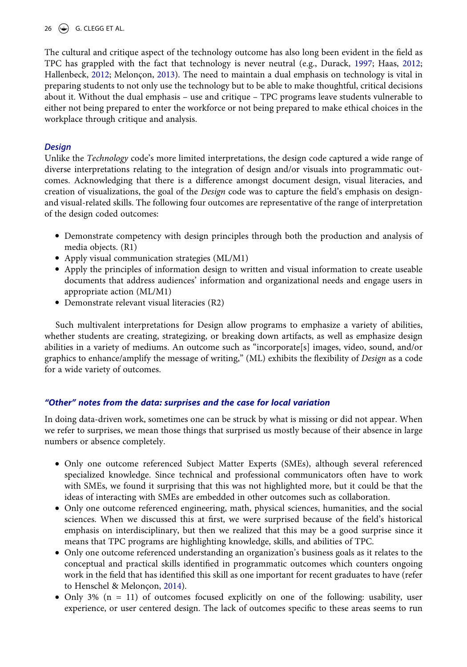## 26  $\left(\bigcirc\right)$  G. CLEGG ET AL.

<span id="page-8-1"></span><span id="page-8-0"></span>The cultural and critique aspect of the technology outcome has also long been evident in the field as TPC has grappled with the fact that technology is never neutral (e.g., Durack, [1997;](#page-13-13) Haas, [2012;](#page-13-14) Hallenbeck, [2012;](#page-13-15) Melonçon, [2013\)](#page-14-16). The need to maintain a dual emphasis on technology is vital in preparing students to not only use the technology but to be able to make thoughtful, critical decisions about it. Without the dual emphasis – use and critique – TPC programs leave students vulnerable to either not being prepared to enter the workforce or not being prepared to make ethical choices in the workplace through critique and analysis.

## *Design*

Unlike the *Technology* code's more limited interpretations, the design code captured a wide range of diverse interpretations relating to the integration of design and/or visuals into programmatic outcomes. Acknowledging that there is a difference amongst document design, visual literacies, and creation of visualizations, the goal of the *Design* code was to capture the field's emphasis on designand visual-related skills. The following four outcomes are representative of the range of interpretation of the design coded outcomes:

- Demonstrate competency with design principles through both the production and analysis of media objects. (R1)
- Apply visual communication strategies (ML/M1)
- Apply the principles of information design to written and visual information to create useable documents that address audiences' information and organizational needs and engage users in appropriate action (ML/M1)
- Demonstrate relevant visual literacies (R2)

Such multivalent interpretations for Design allow programs to emphasize a variety of abilities, whether students are creating, strategizing, or breaking down artifacts, as well as emphasize design abilities in a variety of mediums. An outcome such as "incorporate[s] images, video, sound, and/or graphics to enhance/amplify the message of writing," (ML) exhibits the flexibility of *Design* as a code for a wide variety of outcomes.

## *"Other" notes from the data: surprises and the case for local variation*

In doing data-driven work, sometimes one can be struck by what is missing or did not appear. When we refer to surprises, we mean those things that surprised us mostly because of their absence in large numbers or absence completely.

- Only one outcome referenced Subject Matter Experts (SMEs), although several referenced specialized knowledge. Since technical and professional communicators often have to work with SMEs, we found it surprising that this was not highlighted more, but it could be that the ideas of interacting with SMEs are embedded in other outcomes such as collaboration.
- Only one outcome referenced engineering, math, physical sciences, humanities, and the social sciences. When we discussed this at first, we were surprised because of the field's historical emphasis on interdisciplinary, but then we realized that this may be a good surprise since it means that TPC programs are highlighting knowledge, skills, and abilities of TPC.
- Only one outcome referenced understanding an organization's business goals as it relates to the conceptual and practical skills identified in programmatic outcomes which counters ongoing work in the field that has identified this skill as one important for recent graduates to have (refer to Henschel & Melonçon, [2014\)](#page-14-7).
- Only 3% (n = 11) of outcomes focused explicitly on one of the following: usability, user experience, or user centered design. The lack of outcomes specific to these areas seems to run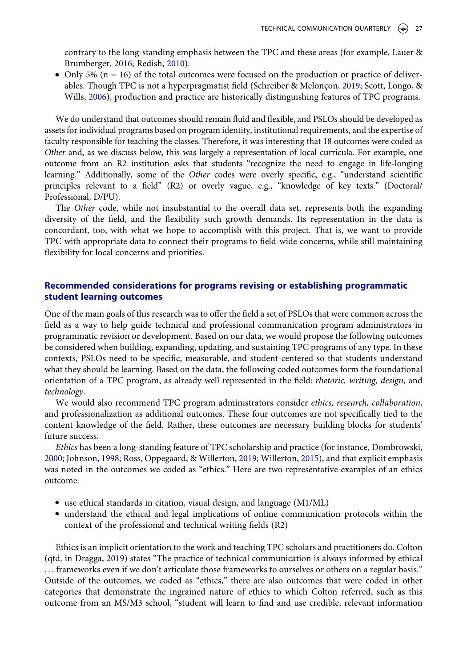<span id="page-9-3"></span>contrary to the long-standing emphasis between the TPC and these areas (for example, Lauer & Brumberger, [2016;](#page-14-17) Redish, [2010](#page-14-18)).

<span id="page-9-5"></span><span id="page-9-4"></span>• Only 5% ( $n = 16$ ) of the total outcomes were focused on the production or practice of deliverables. Though TPC is not a hyperpragmatist field (Schreiber & Melonçon, [2019;](#page-14-19) Scott, Longo, & Wills, [2006\)](#page-14-20), production and practice are historically distinguishing features of TPC programs.

We do understand that outcomes should remain fluid and flexible, and PSLOs should be developed as assets for individual programs based on program identity, institutional requirements, and the expertise of faculty responsible for teaching the classes. Therefore, it was interesting that 18 outcomes were coded as *Other* and, as we discuss below, this was largely a representation of local curricula. For example, one outcome from an R2 institution asks that students "recognize the need to engage in life-longing learning." Additionally, some of the *Other* codes were overly specific, e.g., "understand scientific principles relevant to a field" (R2) or overly vague, e.g., "knowledge of key texts." (Doctoral/ Professional, D/PU).

The *Other* code, while not insubstantial to the overall data set, represents both the expanding diversity of the field, and the flexibility such growth demands. Its representation in the data is concordant, too, with what we hope to accomplish with this project. That is, we want to provide TPC with appropriate data to connect their programs to field-wide concerns, while still maintaining flexibility for local concerns and priorities.

## **Recommended considerations for programs revising or establishing programmatic student learning outcomes**

One of the main goals of this research was to offer the field a set of PSLOs that were common across the field as a way to help guide technical and professional communication program administrators in programmatic revision or development. Based on our data, we would propose the following outcomes be considered when building, expanding, updating, and sustaining TPC programs of any type. In these contexts, PSLOs need to be specific, measurable, and student-centered so that students understand what they should be learning. Based on the data, the following coded outcomes form the foundational orientation of a TPC program, as already well represented in the field: *rhetoric, writing, design*, and *technology*.

We would also recommend TPC program administrators consider *ethics, research, collaboration*, and professionalization as additional outcomes. These four outcomes are not specifically tied to the content knowledge of the field. Rather, these outcomes are necessary building blocks for students' future success.

<span id="page-9-2"></span><span id="page-9-0"></span>*Ethics* has been a long-standing feature of TPC scholarship and practice (for instance, Dombrowski, [2000](#page-13-16); Johnson, [1998;](#page-14-21) Ross, Oppegaard, & Willerton, [2019;](#page-14-22) Willerton, [2015\)](#page-15-2), and that explicit emphasis was noted in the outcomes we coded as "ethics." Here are two representative examples of an ethics outcome:

- use ethical standards in citation, visual design, and language (M1/ML)
- understand the ethical and legal implications of online communication protocols within the context of the professional and technical writing fields (R2)

<span id="page-9-1"></span>Ethics is an implicit orientation to the work and teaching TPC scholars and practitioners do. Colton (qtd. in Dragga, [2019](#page-13-17)) states "The practice of technical communication is always informed by ethical . . . frameworks even if we don't articulate those frameworks to ourselves or others on a regular basis." Outside of the outcomes, we coded as "ethics," there are also outcomes that were coded in other categories that demonstrate the ingrained nature of ethics to which Colton referred, such as this outcome from an MS/M3 school, "student will learn to find and use credible, relevant information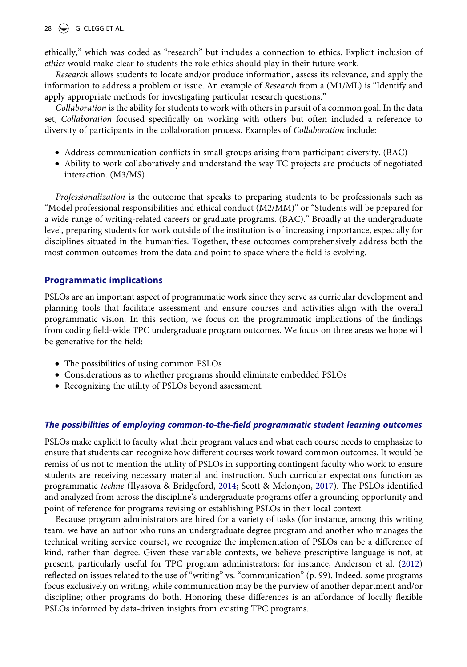## 28  $\left(\bigoplus$  G. CLEGG ET AL.

ethically," which was coded as "research" but includes a connection to ethics. Explicit inclusion of *ethics* would make clear to students the role ethics should play in their future work.

*Research* allows students to locate and/or produce information, assess its relevance, and apply the information to address a problem or issue. An example of *Research* from a (M1/ML) is "Identify and apply appropriate methods for investigating particular research questions."

*Collaboration* is the ability for students to work with others in pursuit of a common goal. In the data set, *Collaboration* focused specifically on working with others but often included a reference to diversity of participants in the collaboration process. Examples of *Collaboration* include:

- Address communication conflicts in small groups arising from participant diversity. (BAC)
- Ability to work collaboratively and understand the way TC projects are products of negotiated interaction. (M3/MS)

*Professionalization* is the outcome that speaks to preparing students to be professionals such as "Model professional responsibilities and ethical conduct (M2/MM)" or "Students will be prepared for a wide range of writing-related careers or graduate programs. (BAC)." Broadly at the undergraduate level, preparing students for work outside of the institution is of increasing importance, especially for disciplines situated in the humanities. Together, these outcomes comprehensively address both the most common outcomes from the data and point to space where the field is evolving.

## **Programmatic implications**

PSLOs are an important aspect of programmatic work since they serve as curricular development and planning tools that facilitate assessment and ensure courses and activities align with the overall programmatic vision. In this section, we focus on the programmatic implications of the findings from coding field-wide TPC undergraduate program outcomes. We focus on three areas we hope will be generative for the field:

- The possibilities of using common PSLOs
- Considerations as to whether programs should eliminate embedded PSLOs
- Recognizing the utility of PSLOs beyond assessment.

## *The possibilities of employing common-to-the-field programmatic student learning outcomes*

PSLOs make explicit to faculty what their program values and what each course needs to emphasize to ensure that students can recognize how different courses work toward common outcomes. It would be remiss of us not to mention the utility of PSLOs in supporting contingent faculty who work to ensure students are receiving necessary material and instruction. Such curricular expectations function as programmatic *techne* (Ilyasova & Bridgeford, [2014](#page-14-0); Scott & Melonçon, [2017\)](#page-14-23). The PSLOs identified and analyzed from across the discipline's undergraduate programs offer a grounding opportunity and point of reference for programs revising or establishing PSLOs in their local context.

<span id="page-10-0"></span>Because program administrators are hired for a variety of tasks (for instance, among this writing team, we have an author who runs an undergraduate degree program and another who manages the technical writing service course), we recognize the implementation of PSLOs can be a difference of kind, rather than degree. Given these variable contexts, we believe prescriptive language is not, at present, particularly useful for TPC program administrators; for instance, Anderson et al. [\(2012\)](#page-13-2) reflected on issues related to the use of "writing" vs. "communication" (p. 99). Indeed, some programs focus exclusively on writing, while communication may be the purview of another department and/or discipline; other programs do both. Honoring these differences is an affordance of locally flexible PSLOs informed by data-driven insights from existing TPC programs.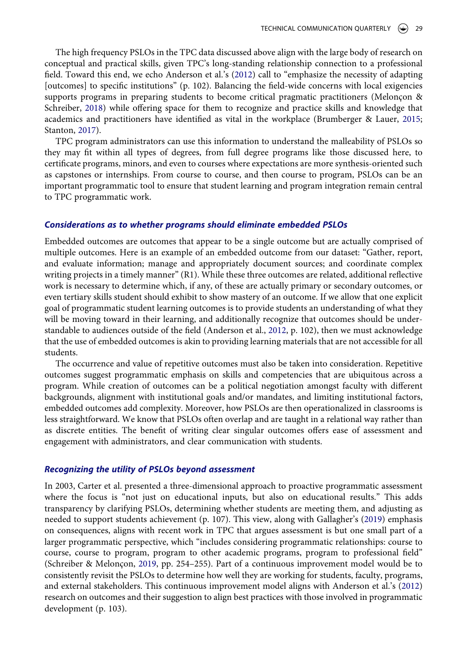The high frequency PSLOs in the TPC data discussed above align with the large body of research on conceptual and practical skills, given TPC's long-standing relationship connection to a professional field. Toward this end, we echo Anderson et al.'s [\(2012](#page-13-2)) call to "emphasize the necessity of adapting [outcomes] to specific institutions" (p. 102). Balancing the field-wide concerns with local exigencies supports programs in preparing students to become critical pragmatic practitioners (Melonçon & Schreiber, [2018\)](#page-14-24) while offering space for them to recognize and practice skills and knowledge that academics and practitioners have identified as vital in the workplace (Brumberger & Lauer, [2015;](#page-13-18) Stanton, [2017\)](#page-14-25).

<span id="page-11-3"></span><span id="page-11-2"></span><span id="page-11-0"></span>TPC program administrators can use this information to understand the malleability of PSLOs so they may fit within all types of degrees, from full degree programs like those discussed here, to certificate programs, minors, and even to courses where expectations are more synthesis-oriented such as capstones or internships. From course to course, and then course to program, PSLOs can be an important programmatic tool to ensure that student learning and program integration remain central to TPC programmatic work.

### *Considerations as to whether programs should eliminate embedded PSLOs*

Embedded outcomes are outcomes that appear to be a single outcome but are actually comprised of multiple outcomes. Here is an example of an embedded outcome from our dataset: "Gather, report, and evaluate information; manage and appropriately document sources; and coordinate complex writing projects in a timely manner" (R1). While these three outcomes are related, additional reflective work is necessary to determine which, if any, of these are actually primary or secondary outcomes, or even tertiary skills student should exhibit to show mastery of an outcome. If we allow that one explicit goal of programmatic student learning outcomes is to provide students an understanding of what they will be moving toward in their learning, and additionally recognize that outcomes should be understandable to audiences outside of the field (Anderson et al., [2012,](#page-13-2) p. 102), then we must acknowledge that the use of embedded outcomes is akin to providing learning materials that are not accessible for all students.

The occurrence and value of repetitive outcomes must also be taken into consideration. Repetitive outcomes suggest programmatic emphasis on skills and competencies that are ubiquitous across a program. While creation of outcomes can be a political negotiation amongst faculty with different backgrounds, alignment with institutional goals and/or mandates, and limiting institutional factors, embedded outcomes add complexity. Moreover, how PSLOs are then operationalized in classrooms is less straightforward. We know that PSLOs often overlap and are taught in a relational way rather than as discrete entities. The benefit of writing clear singular outcomes offers ease of assessment and engagement with administrators, and clear communication with students.

#### *Recognizing the utility of PSLOs beyond assessment*

<span id="page-11-1"></span>In 2003, Carter et al. presented a three-dimensional approach to proactive programmatic assessment where the focus is "not just on educational inputs, but also on educational results." This adds transparency by clarifying PSLOs, determining whether students are meeting them, and adjusting as needed to support students achievement (p. 107). This view, along with Gallagher's [\(2019](#page-13-19)) emphasis on consequences, aligns with recent work in TPC that argues assessment is but one small part of a larger programmatic perspective, which "includes considering programmatic relationships: course to course, course to program, program to other academic programs, program to professional field" (Schreiber & Melonçon, [2019,](#page-14-19) pp. 254–255). Part of a continuous improvement model would be to consistently revisit the PSLOs to determine how well they are working for students, faculty, programs, and external stakeholders. This continuous improvement model aligns with Anderson et al.'s [\(2012\)](#page-13-2) research on outcomes and their suggestion to align best practices with those involved in programmatic development (p. 103).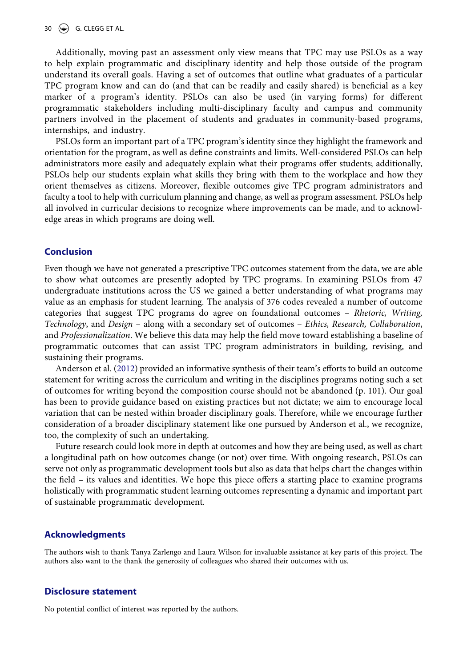Additionally, moving past an assessment only view means that TPC may use PSLOs as a way to help explain programmatic and disciplinary identity and help those outside of the program understand its overall goals. Having a set of outcomes that outline what graduates of a particular TPC program know and can do (and that can be readily and easily shared) is beneficial as a key marker of a program's identity. PSLOs can also be used (in varying forms) for different programmatic stakeholders including multi-disciplinary faculty and campus and community partners involved in the placement of students and graduates in community-based programs, internships, and industry.

PSLOs form an important part of a TPC program's identity since they highlight the framework and orientation for the program, as well as define constraints and limits. Well-considered PSLOs can help administrators more easily and adequately explain what their programs offer students; additionally, PSLOs help our students explain what skills they bring with them to the workplace and how they orient themselves as citizens. Moreover, flexible outcomes give TPC program administrators and faculty a tool to help with curriculum planning and change, as well as program assessment. PSLOs help all involved in curricular decisions to recognize where improvements can be made, and to acknowledge areas in which programs are doing well.

## **Conclusion**

Even though we have not generated a prescriptive TPC outcomes statement from the data, we are able to show what outcomes are presently adopted by TPC programs. In examining PSLOs from 47 undergraduate institutions across the US we gained a better understanding of what programs may value as an emphasis for student learning. The analysis of 376 codes revealed a number of outcome categories that suggest TPC programs do agree on foundational outcomes – *Rhetoric, Writing, Technology*, and *Design* – along with a secondary set of outcomes – *Ethics, Research, Collaboration*, and *Professionalization*. We believe this data may help the field move toward establishing a baseline of programmatic outcomes that can assist TPC program administrators in building, revising, and sustaining their programs.

Anderson et al. [\(2012](#page-13-2)) provided an informative synthesis of their team's efforts to build an outcome statement for writing across the curriculum and writing in the disciplines programs noting such a set of outcomes for writing beyond the composition course should not be abandoned (p. 101). Our goal has been to provide guidance based on existing practices but not dictate; we aim to encourage local variation that can be nested within broader disciplinary goals. Therefore, while we encourage further consideration of a broader disciplinary statement like one pursued by Anderson et al., we recognize, too, the complexity of such an undertaking.

Future research could look more in depth at outcomes and how they are being used, as well as chart a longitudinal path on how outcomes change (or not) over time. With ongoing research, PSLOs can serve not only as programmatic development tools but also as data that helps chart the changes within the field – its values and identities. We hope this piece offers a starting place to examine programs holistically with programmatic student learning outcomes representing a dynamic and important part of sustainable programmatic development.

### **Acknowledgments**

The authors wish to thank Tanya Zarlengo and Laura Wilson for invaluable assistance at key parts of this project. The authors also want to the thank the generosity of colleagues who shared their outcomes with us.

### **Disclosure statement**

No potential conflict of interest was reported by the authors.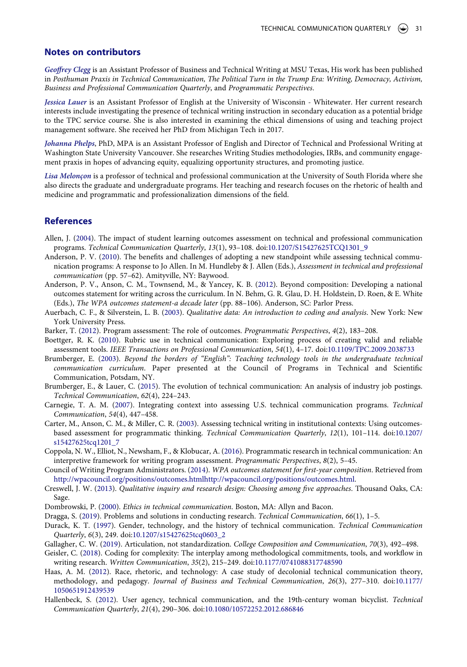#### **Notes on contributors**

*Geoffrey Clegg* is an Assistant Professor of Business and Technical Writing at MSU Texas, His work has been published in *Posthuman Praxis in Technical Communication, The Political Turn in the Trump Era: Writing, Democracy, Activism, Business and Professional Communication Quarterly*, and *Programmatic Perspectives*.

*Jessica Lauer* is an Assistant Professor of English at the University of Wisconsin - Whitewater. Her current research interests include investigating the presence of technical writing instruction in secondary education as a potential bridge to the TPC service course. She is also interested in examining the ethical dimensions of using and teaching project management software. She received her PhD from Michigan Tech in 2017.

*Johanna Phelps*, PhD, MPA is an Assistant Professor of English and Director of Technical and Professional Writing at Washington State University Vancouver. She researches Writing Studies methodologies, IRBs, and community engagement praxis in hopes of advancing equity, equalizing opportunity structures, and promoting justice.

*Lisa Melonçon* is a professor of technical and professional communication at the University of South Florida where she also directs the graduate and undergraduate programs. Her teaching and research focuses on the rhetoric of health and medicine and programmatic and professionalization dimensions of the field.

## **References**

- <span id="page-13-3"></span>Allen, J. [\(2004](#page-2-0)). The impact of student learning outcomes assessment on technical and professional communication programs. *Technical Communication Quarterly*, *13*(1), 93–108. doi:[10.1207/S15427625TCQ1301\\_9](https://doi.org/10.1207/S15427625TCQ1301_9)
- <span id="page-13-7"></span>Anderson, P. V. ([2010](#page-2-1)). The benefits and challenges of adopting a new standpoint while assessing technical communication programs: A response to Jo Allen. In M. Hundleby & J. Allen (Eds.), *Assessment in technical and professional communication* (pp. 57–62). Amityville, NY: Baywood.
- <span id="page-13-2"></span>Anderson, P. V., Anson, C. M., Townsend, M., & Yancey, K. B. [\(2012\)](#page-1-2). Beyond composition: Developing a national outcomes statement for writing across the curriculum. In N. Behm, G. R. Glau, D. H. Holdstein, D. Roen, & E. White (Eds.), *The WPA outcomes statement-a decade later* (pp. 88–106). Anderson, SC: Parlor Press.
- <span id="page-13-10"></span>Auerbach, C. F., & Silverstein, L. B. [\(2003\)](#page-4-0). *Qualitative data: An introduction to coding and analysis*. New York: New York University Press.
- <span id="page-13-0"></span>Barker, T. ([2012](#page-1-3)). Program assessment: The role of outcomes. *Programmatic Perspectives*, *4*(2), 183–208.
- <span id="page-13-4"></span>Boettger, R. K. ([2010](#page-2-0)). Rubric use in technical communication: Exploring process of creating valid and reliable assessment tools. *IEEE Transactions on Professional Communication*, *54*(1), 4–17. doi:[10.1109/TPC.2009.2038733](https://doi.org/10.1109/TPC.2009.2038733)
- <span id="page-13-12"></span>Brumberger, E. [\(2003](#page-7-0)). *Beyond the borders of "English": Teaching technology tools in the undergraduate technical communication curriculum*. Paper presented at the Council of Programs in Technical and Scientific Communication, Potsdam, NY.
- <span id="page-13-18"></span>Brumberger, E., & Lauer, C. ([2015\)](#page-11-0). The evolution of technical communication: An analysis of industry job postings. *Technical Communication*, *62*(4), 224–243.
- <span id="page-13-5"></span>Carnegie, T. A. M. [\(2007](#page-2-2)). Integrating context into assessing U.S. technical communication programs. *Technical Communication*, *54*(4), 447–458.
- <span id="page-13-1"></span>Carter, M., Anson, C. M., & Miller, C. R. [\(2003\)](#page-1-2). Assessing technical writing in institutional contexts: Using outcomesbased assessment for programmatic thinking. *Technical Communication Quarterly*, *12*(1), 101–114. doi:[10.1207/](https://doi.org/10.1207/s15427625tcq1201_7) [s15427625tcq1201\\_7](https://doi.org/10.1207/s15427625tcq1201_7)
- <span id="page-13-6"></span>Coppola, N. W., Elliot, N., Newsham, F., & Klobucar, A. ([2016](#page-2-2)). Programmatic research in technical communication: An interpretive framework for writing program assessment. *Programmatic Perspectives*, *8*(2), 5–45.
- <span id="page-13-8"></span>Council of Writing Program Administrators. ([2014\)](#page-2-3). *WPA outcomes statement for first-year composition*. Retrieved from [http://wpacouncil.org/positions/outcomes.htmlhttp://wpacouncil.org/positions/outcomes.html.](http://wpacouncil.org/positions/outcomes.htmlhttp://wpacouncil.org/positions/outcomes.html)
- <span id="page-13-11"></span>Creswell, J. W. ([2013](#page-5-1)). *Qualitative inquiry and research design: Choosing among five approaches*. Thousand Oaks, CA: Sage.
- <span id="page-13-16"></span>Dombrowski, P. [\(2000](#page-9-0)). *Ethics in technical communication*. Boston, MA: Allyn and Bacon.
- <span id="page-13-17"></span>Dragga, S. [\(2019\)](#page-9-1). Problems and solutions in conducting research. *Technical Communication*, *66*(1), 1–5.
- <span id="page-13-13"></span>Durack, K. T. ([1997](#page-8-0)). Gender, technology, and the history of technical communication. *Technical Communication Quarterly*, *6*(3), 249. doi:[10.1207/s15427625tcq0603\\_2](https://doi.org/10.1207/s15427625tcq0603_2)
- <span id="page-13-19"></span>Gallagher, C. W. ([2019](#page-11-1)). Articulation, not standardization. *College Composition and Communication*, *70*(3), 492–498.
- <span id="page-13-9"></span>Geisler, C. [\(2018\)](#page-3-0). Coding for complexity: The interplay among methodological commitments, tools, and workflow in writing research. *Written Communication*, *35*(2), 215–249. doi:[10.1177/0741088317748590](https://doi.org/10.1177/0741088317748590)
- <span id="page-13-14"></span>Haas, A. M. ([2012](#page-8-0)). Race, rhetoric, and technology: A case study of decolonial technical communication theory, methodology, and pedagogy. *Journal of Business and Technical Communication*, *26*(3), 277–310. doi:[10.1177/](https://doi.org/10.1177/1050651912439539) [1050651912439539](https://doi.org/10.1177/1050651912439539)
- <span id="page-13-15"></span>Hallenbeck, S. [\(2012\)](#page-8-1). User agency, technical communication, and the 19th-century woman bicyclist. *Technical Communication Quarterly*, *21*(4), 290–306. doi:[10.1080/10572252.2012.686846](https://doi.org/10.1080/10572252.2012.686846)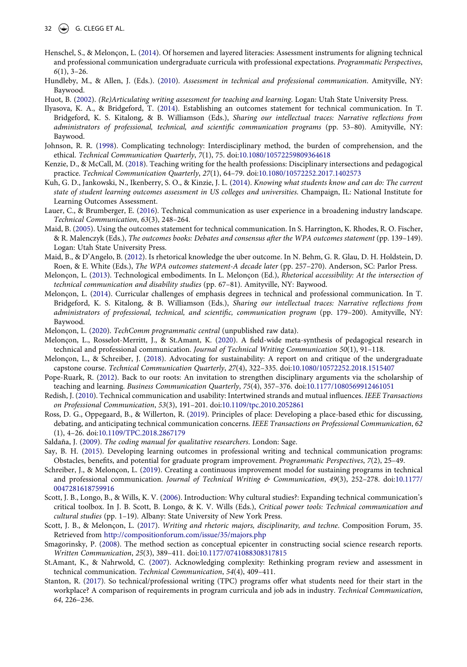- <span id="page-14-7"></span>Henschel, S., & Melonçon, L. [\(2014\)](#page-2-4). Of horsemen and layered literacies: Assessment instruments for aligning technical and professional communication undergraduate curricula with professional expectations. *Programmatic Perspectives*, *6*(1), 3–26.
- <span id="page-14-5"></span>Hundleby, M., & Allen, J. (Eds.). [\(2010](#page-2-2)). *Assessment in technical and professional communication*. Amityville, NY: Baywood.
- <span id="page-14-2"></span>Huot, B. ([2002\)](#page-1-4). *(Re)Articulating writing assessment for teaching and learning*. Logan: Utah State University Press.
- <span id="page-14-0"></span>Ilyasova, K. A., & Bridgeford, T. ([2014](#page-1-5)). Establishing an outcomes statement for technical communication. In T. Bridgeford, K. S. Kitalong, & B. Williamson (Eds.), *Sharing our intellectual traces: Narrative reflections from administrators of professional, technical, and scientific communication programs* (pp. 53–80). Amityville, NY: Baywood.
- <span id="page-14-21"></span>Johnson, R. R. [\(1998\)](#page-9-2). Complicating technology: Interdisciplinary method, the burden of comprehension, and the ethical. *Technical Communication Quarterly*, *7*(1), 75. doi:[10.1080/10572259809364618](https://doi.org/10.1080/10572259809364618)
- <span id="page-14-14"></span>Kenzie, D., & McCall, M. [\(2018\)](#page-6-1). Teaching writing for the health professions: Disciplinary intersections and pedagogical practice. *Technical Communication Quarterly*, *27*(1), 64–79. doi:[10.1080/10572252.2017.1402573](https://doi.org/10.1080/10572252.2017.1402573)
- <span id="page-14-15"></span>Kuh, G. D., Jankowski, N., Ikenberry, S. O., & Kinzie, J. L. ([2014](#page-6-1)). *Knowing what students know and can do: The current state of student learning outcomes assessment in US colleges and universities*. Champaign, IL: National Institute for Learning Outcomes Assessment.
- <span id="page-14-17"></span>Lauer, C., & Brumberger, E. [\(2016\)](#page-9-3). Technical communication as user experience in a broadening industry landscape. *Technical Communication*, *63*(3), 248–264.
- <span id="page-14-8"></span>Maid, B. [\(2005\)](#page-2-5). Using the outcomes statement for technical communication. In S. Harrington, K. Rhodes, R. O. Fischer, & R. Malenczyk (Eds.), *The outcomes books: Debates and consensus after the WPA outcomes statement* (pp. 139–149). Logan: Utah State University Press.
- <span id="page-14-9"></span>Maid, B., & D'Angelo, B. [\(2012\)](#page-2-6). Is rhetorical knowledge the uber outcome. In N. Behm, G. R. Glau, D. H. Holdstein, D. Roen, & E. White (Eds.), *The WPA outcomes statement-A decade later* (pp. 257–270). Anderson, SC: Parlor Press.
- <span id="page-14-16"></span>Melonçon, L. [\(2013\)](#page-8-1). Technological embodiments. In L. Melonçon (Ed.), *Rhetorical accessibility: At the intersection of technical communication and disability studies* (pp. 67–81). Amityville, NY: Baywood.
- <span id="page-14-10"></span>Melonçon, L. [\(2014\)](#page-3-1). Curricular challenges of emphasis degrees in technical and professional communication. In T. Bridgeford, K. S. Kitalong, & B. Williamson (Eds.), *Sharing our intellectual traces: Narrative reflections from administrators of professional, technical, and scientific, communication program* (pp. 179–200). Amityville, NY: Baywood.
- <span id="page-14-11"></span>Melonçon, L. [\(2020](#page-3-2)). *TechComm programmatic central* (unpublished raw data).
- <span id="page-14-4"></span>Melonçon, L., Rosselot-Merritt, J., & St.Amant, K. [\(2020\)](#page-2-7). A field-wide meta-synthesis of pedagogical research in technical and professional communication. *Journal of Technical Writing Communication 50*(1), 91–118.
- <span id="page-14-24"></span>Melonçon, L., & Schreiber, J. ([2018](#page-11-2)). Advocating for sustainability: A report on and critique of the undergraduate capstone course. *Technical Communication Quarterly*, *27*(4), 322–335. doi:[10.1080/10572252.2018.1515407](https://doi.org/10.1080/10572252.2018.1515407)
- <span id="page-14-3"></span>Pope-Ruark, R. [\(2012\)](#page-2-8). Back to our roots: An invitation to strengthen disciplinary arguments via the scholarship of teaching and learning. *Business Communication Quarterly*, *75*(4), 357–376. doi:[10.1177/1080569912461051](https://doi.org/10.1177/1080569912461051)
- <span id="page-14-18"></span>Redish, J. [\(2010\)](#page-9-3). Technical communication and usability: Intertwined strands and mutual influences. *IEEE Transactions on Professional Communication*, *53*(3), 191–201. doi:[10.1109/tpc.2010.2052861](https://doi.org/10.1109/tpc.2010.2052861)
- <span id="page-14-22"></span>Ross, D. G., Oppegaard, B., & Willerton, R. ([2019\)](#page-9-2). Principles of place: Developing a place-based ethic for discussing, debating, and anticipating technical communication concerns. *IEEE Transactions on Professional Communication*, *62*  (1), 4–26. doi:[10.1109/TPC.2018.2867179](https://doi.org/10.1109/TPC.2018.2867179)
- <span id="page-14-12"></span>Saldaña, J. ([2009](#page-3-0)). *The coding manual for qualitative researchers*. London: Sage.
- <span id="page-14-1"></span>Say, B. H. [\(2015](#page-1-2)). Developing learning outcomes in professional writing and technical communication programs: Obstacles, benefits, and potential for graduate program improvement. *Programmatic Perspectives*, *7*(2), 25–49.
- <span id="page-14-19"></span>Schreiber, J., & Melonçon, L. ([2019](#page-9-4)). Creating a continuous improvement model for sustaining programs in technical and professional communication. *Journal of Technical Writing & Communication*, *49*(3), 252–278. doi:[10.1177/](https://doi.org/10.1177/0047281618759916)  [0047281618759916](https://doi.org/10.1177/0047281618759916)
- <span id="page-14-20"></span>Scott, J. B., Longo, B., & Wills, K. V. ([2006\)](#page-9-5). Introduction: Why cultural studies?: Expanding technical communication's critical toolbox. In J. B. Scott, B. Longo, & K. V. Wills (Eds.), *Critical power tools: Technical communication and cultural studies* (pp. 1–19). Albany: State University of New York Press.
- <span id="page-14-23"></span>Scott, J. B., & Melonçon, L. [\(2017](#page-10-0)). *Writing and rhetoric majors, disciplinarity, and techne*. Composition Forum, 35. Retrieved from <http://compositionforum.com/issue/35/majors.php>
- <span id="page-14-13"></span>Smagorinsky, P. [\(2008](#page-3-3)). The method section as conceptual epicenter in constructing social science research reports. *Written Communication*, *25*(3), 389–411. doi:[10.1177/0741088308317815](https://doi.org/10.1177/0741088308317815)
- <span id="page-14-6"></span>St.Amant, K., & Nahrwold, C. ([2007\)](#page-2-9). Acknowledging complexity: Rethinking program review and assessment in technical communication. *Technical Communication*, *54*(4), 409–411.
- <span id="page-14-25"></span>Stanton, R. ([2017](#page-11-3)). So technical/professional writing (TPC) programs offer what students need for their start in the workplace? A comparison of requirements in program curricula and job ads in industry. *Technical Communication*, *64*, 226–236.